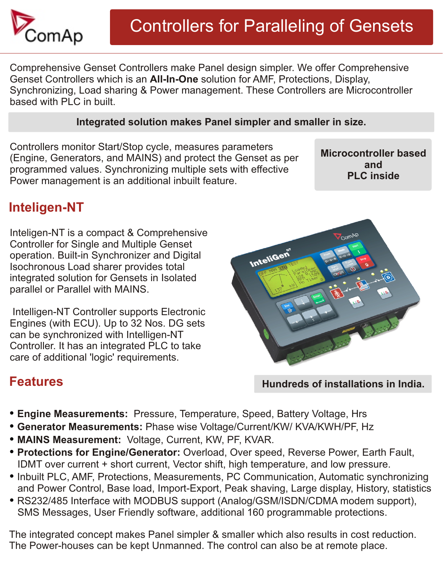

Comprehensive Genset Controllers make Panel design simpler. We offer Comprehensive Genset Controllers which is an **All-In-One** solution for AMF, Protections, Display, Synchronizing, Load sharing & Power management. These Controllers are Microcontroller based with PLC in built.

#### **Integrated solution makes Panel simpler and smaller in size.**

Controllers monitor Start/Stop cycle, measures parameters (Engine, Generators, and MAINS) and protect the Genset as per programmed values. Synchronizing multiple sets with effective Power management is an additional inbuilt feature.

**Microcontroller based and PLC inside**

## **Inteligen-NT**

Inteligen-NT is a compact & Comprehensive Controller for Single and Multiple Genset operation. Built-in Synchronizer and Digital Isochronous Load sharer provides total integrated solution for Gensets in Isolated parallel or Parallel with MAINS.

 Intelligen-NT Controller supports Electronic Engines (with ECU). Up to 32 Nos. DG sets can be synchronized with Intelligen-NT Controller. It has an integrated PLC to take care of additional 'logic' requirements.



## **Features**

- **Hundreds of installations in India.**
- **Engine Measurements:** Pressure, Temperature, Speed, Battery Voltage, Hrs
- **Generator Measurements:** Phase wise Voltage/Current/KW/ KVA/KWH/PF, Hz
- **MAINS Measurement:** Voltage, Current, KW, PF, KVAR.
- **Protections for Engine/Generator:** Overload, Over speed, Reverse Power, Earth Fault, IDMT over current + short current, Vector shift, high temperature, and low pressure.
- Inbuilt PLC, AMF, Protections, Measurements, PC Communication, Automatic synchronizing and Power Control, Base load, Import-Export, Peak shaving, Large display, History, statistics
- RS232/485 Interface with MODBUS support (Analog/GSM/ISDN/CDMA modem support), SMS Messages, User Friendly software, additional 160 programmable protections.

The integrated concept makes Panel simpler & smaller which also results in cost reduction. The Power-houses can be kept Unmanned. The control can also be at remote place.